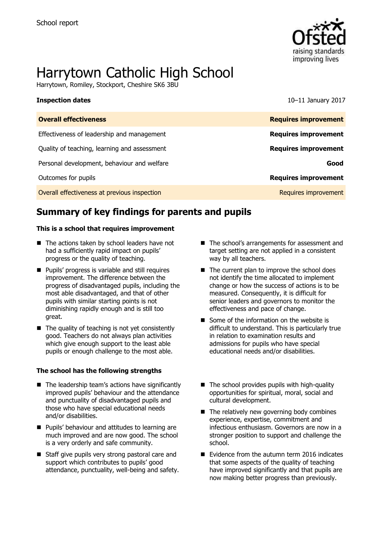

# Harrytown Catholic High School

Harrytown, Romiley, Stockport, Cheshire SK6 3BU

**Inspection dates** 10–11 January 2017

| <b>Overall effectiveness</b>                 | <b>Requires improvement</b> |
|----------------------------------------------|-----------------------------|
| Effectiveness of leadership and management   | <b>Requires improvement</b> |
| Quality of teaching, learning and assessment | <b>Requires improvement</b> |
| Personal development, behaviour and welfare  | Good                        |
| Outcomes for pupils                          | <b>Requires improvement</b> |
| Overall effectiveness at previous inspection | Requires improvement        |

# **Summary of key findings for parents and pupils**

#### **This is a school that requires improvement**

- The actions taken by school leaders have not had a sufficiently rapid impact on pupils' progress or the quality of teaching.
- **Pupils' progress is variable and still requires** improvement. The difference between the progress of disadvantaged pupils, including the most able disadvantaged, and that of other pupils with similar starting points is not diminishing rapidly enough and is still too great.
- $\blacksquare$  The quality of teaching is not yet consistently good. Teachers do not always plan activities which give enough support to the least able pupils or enough challenge to the most able.

#### **The school has the following strengths**

- $\blacksquare$  The leadership team's actions have significantly improved pupils' behaviour and the attendance and punctuality of disadvantaged pupils and those who have special educational needs and/or disabilities.
- **Pupils' behaviour and attitudes to learning are** much improved and are now good. The school is a very orderly and safe community.
- Staff give pupils very strong pastoral care and support which contributes to pupils' good attendance, punctuality, well-being and safety.
- The school's arrangements for assessment and target setting are not applied in a consistent way by all teachers.
- $\blacksquare$  The current plan to improve the school does not identify the time allocated to implement change or how the success of actions is to be measured. Consequently, it is difficult for senior leaders and governors to monitor the effectiveness and pace of change.
- Some of the information on the website is difficult to understand. This is particularly true in relation to examination results and admissions for pupils who have special educational needs and/or disabilities.
- $\blacksquare$  The school provides pupils with high-quality opportunities for spiritual, moral, social and cultural development.
- $\blacksquare$  The relatively new governing body combines experience, expertise, commitment and infectious enthusiasm. Governors are now in a stronger position to support and challenge the school.
- Evidence from the autumn term 2016 indicates that some aspects of the quality of teaching have improved significantly and that pupils are now making better progress than previously.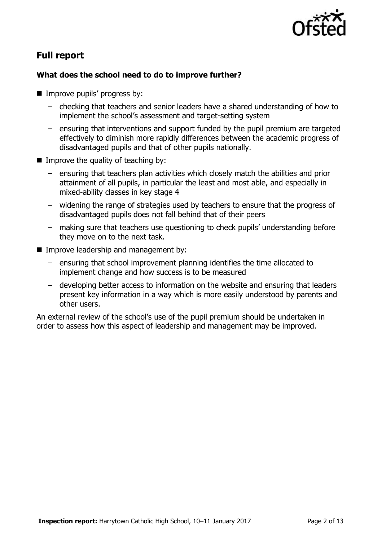

# **Full report**

### **What does the school need to do to improve further?**

- **Improve pupils' progress by:** 
	- checking that teachers and senior leaders have a shared understanding of how to implement the school's assessment and target-setting system
	- ensuring that interventions and support funded by the pupil premium are targeted effectively to diminish more rapidly differences between the academic progress of disadvantaged pupils and that of other pupils nationally.
- $\blacksquare$  Improve the quality of teaching by:
	- ensuring that teachers plan activities which closely match the abilities and prior attainment of all pupils, in particular the least and most able, and especially in mixed-ability classes in key stage 4
	- widening the range of strategies used by teachers to ensure that the progress of disadvantaged pupils does not fall behind that of their peers
	- making sure that teachers use questioning to check pupils' understanding before they move on to the next task.
- **Improve leadership and management by:** 
	- ensuring that school improvement planning identifies the time allocated to implement change and how success is to be measured
	- developing better access to information on the website and ensuring that leaders present key information in a way which is more easily understood by parents and other users.

An external review of the school's use of the pupil premium should be undertaken in order to assess how this aspect of leadership and management may be improved.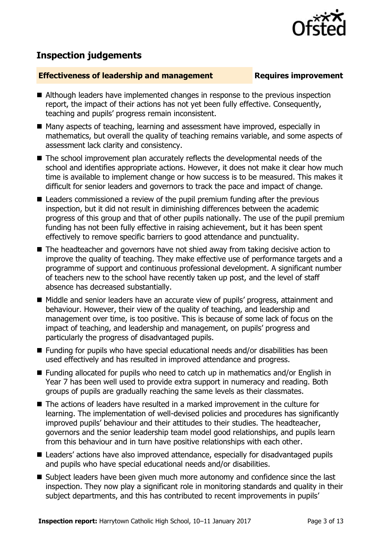

# **Inspection judgements**

#### **Effectiveness of leadership and management Requires improvement**

- Although leaders have implemented changes in response to the previous inspection report, the impact of their actions has not yet been fully effective. Consequently, teaching and pupils' progress remain inconsistent.
- Many aspects of teaching, learning and assessment have improved, especially in mathematics, but overall the quality of teaching remains variable, and some aspects of assessment lack clarity and consistency.
- The school improvement plan accurately reflects the developmental needs of the school and identifies appropriate actions. However, it does not make it clear how much time is available to implement change or how success is to be measured. This makes it difficult for senior leaders and governors to track the pace and impact of change.
- Leaders commissioned a review of the pupil premium funding after the previous inspection, but it did not result in diminishing differences between the academic progress of this group and that of other pupils nationally. The use of the pupil premium funding has not been fully effective in raising achievement, but it has been spent effectively to remove specific barriers to good attendance and punctuality.
- The headteacher and governors have not shied away from taking decisive action to improve the quality of teaching. They make effective use of performance targets and a programme of support and continuous professional development. A significant number of teachers new to the school have recently taken up post, and the level of staff absence has decreased substantially.
- Middle and senior leaders have an accurate view of pupils' progress, attainment and behaviour. However, their view of the quality of teaching, and leadership and management over time, is too positive. This is because of some lack of focus on the impact of teaching, and leadership and management, on pupils' progress and particularly the progress of disadvantaged pupils.
- $\blacksquare$  Funding for pupils who have special educational needs and/or disabilities has been used effectively and has resulted in improved attendance and progress.
- Funding allocated for pupils who need to catch up in mathematics and/or English in Year 7 has been well used to provide extra support in numeracy and reading. Both groups of pupils are gradually reaching the same levels as their classmates.
- The actions of leaders have resulted in a marked improvement in the culture for learning. The implementation of well-devised policies and procedures has significantly improved pupils' behaviour and their attitudes to their studies. The headteacher, governors and the senior leadership team model good relationships, and pupils learn from this behaviour and in turn have positive relationships with each other.
- Leaders' actions have also improved attendance, especially for disadvantaged pupils and pupils who have special educational needs and/or disabilities.
- Subject leaders have been given much more autonomy and confidence since the last inspection. They now play a significant role in monitoring standards and quality in their subject departments, and this has contributed to recent improvements in pupils'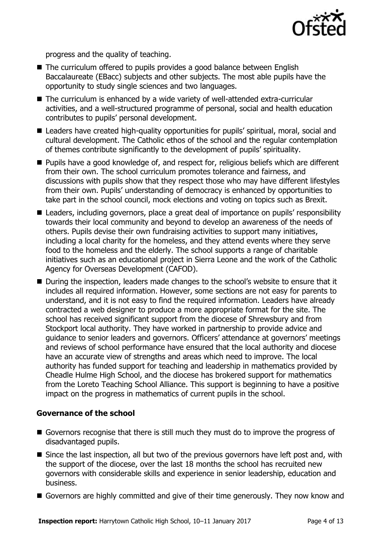

progress and the quality of teaching.

- The curriculum offered to pupils provides a good balance between English Baccalaureate (EBacc) subjects and other subjects. The most able pupils have the opportunity to study single sciences and two languages.
- The curriculum is enhanced by a wide variety of well-attended extra-curricular activities, and a well-structured programme of personal, social and health education contributes to pupils' personal development.
- Leaders have created high-quality opportunities for pupils' spiritual, moral, social and cultural development. The Catholic ethos of the school and the regular contemplation of themes contribute significantly to the development of pupils' spirituality.
- Pupils have a good knowledge of, and respect for, religious beliefs which are different from their own. The school curriculum promotes tolerance and fairness, and discussions with pupils show that they respect those who may have different lifestyles from their own. Pupils' understanding of democracy is enhanced by opportunities to take part in the school council, mock elections and voting on topics such as Brexit.
- Leaders, including governors, place a great deal of importance on pupils' responsibility towards their local community and beyond to develop an awareness of the needs of others. Pupils devise their own fundraising activities to support many initiatives, including a local charity for the homeless, and they attend events where they serve food to the homeless and the elderly. The school supports a range of charitable initiatives such as an educational project in Sierra Leone and the work of the Catholic Agency for Overseas Development (CAFOD).
- During the inspection, leaders made changes to the school's website to ensure that it includes all required information. However, some sections are not easy for parents to understand, and it is not easy to find the required information. Leaders have already contracted a web designer to produce a more appropriate format for the site. The school has received significant support from the diocese of Shrewsbury and from Stockport local authority. They have worked in partnership to provide advice and guidance to senior leaders and governors. Officers' attendance at governors' meetings and reviews of school performance have ensured that the local authority and diocese have an accurate view of strengths and areas which need to improve. The local authority has funded support for teaching and leadership in mathematics provided by Cheadle Hulme High School, and the diocese has brokered support for mathematics from the Loreto Teaching School Alliance. This support is beginning to have a positive impact on the progress in mathematics of current pupils in the school.

#### **Governance of the school**

- Governors recognise that there is still much they must do to improve the progress of disadvantaged pupils.
- Since the last inspection, all but two of the previous governors have left post and, with the support of the diocese, over the last 18 months the school has recruited new governors with considerable skills and experience in senior leadership, education and business.
- Governors are highly committed and give of their time generously. They now know and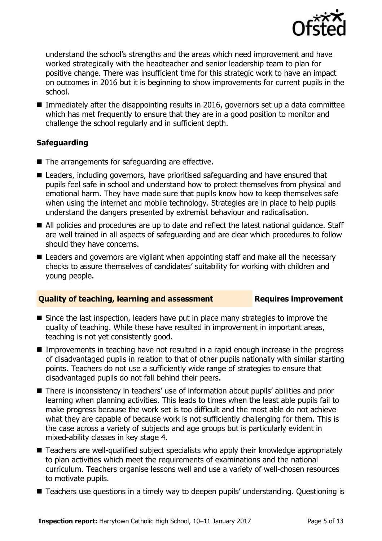

understand the school's strengths and the areas which need improvement and have worked strategically with the headteacher and senior leadership team to plan for positive change. There was insufficient time for this strategic work to have an impact on outcomes in 2016 but it is beginning to show improvements for current pupils in the school.

Immediately after the disappointing results in 2016, governors set up a data committee which has met frequently to ensure that they are in a good position to monitor and challenge the school regularly and in sufficient depth.

### **Safeguarding**

- The arrangements for safeguarding are effective.
- Leaders, including governors, have prioritised safeguarding and have ensured that pupils feel safe in school and understand how to protect themselves from physical and emotional harm. They have made sure that pupils know how to keep themselves safe when using the internet and mobile technology. Strategies are in place to help pupils understand the dangers presented by extremist behaviour and radicalisation.
- All policies and procedures are up to date and reflect the latest national quidance. Staff are well trained in all aspects of safeguarding and are clear which procedures to follow should they have concerns.
- Leaders and governors are vigilant when appointing staff and make all the necessary checks to assure themselves of candidates' suitability for working with children and young people.

### **Quality of teaching, learning and assessment Figures improvement**

- Since the last inspection, leaders have put in place many strategies to improve the quality of teaching. While these have resulted in improvement in important areas, teaching is not yet consistently good.
- Improvements in teaching have not resulted in a rapid enough increase in the progress of disadvantaged pupils in relation to that of other pupils nationally with similar starting points. Teachers do not use a sufficiently wide range of strategies to ensure that disadvantaged pupils do not fall behind their peers.
- There is inconsistency in teachers' use of information about pupils' abilities and prior learning when planning activities. This leads to times when the least able pupils fail to make progress because the work set is too difficult and the most able do not achieve what they are capable of because work is not sufficiently challenging for them. This is the case across a variety of subjects and age groups but is particularly evident in mixed-ability classes in key stage 4.
- Teachers are well-qualified subject specialists who apply their knowledge appropriately to plan activities which meet the requirements of examinations and the national curriculum. Teachers organise lessons well and use a variety of well-chosen resources to motivate pupils.
- Teachers use questions in a timely way to deepen pupils' understanding. Ouestioning is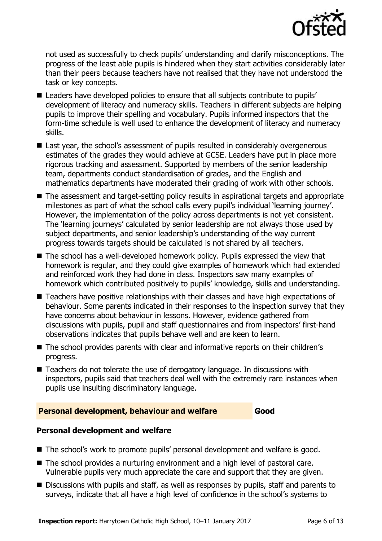

not used as successfully to check pupils' understanding and clarify misconceptions. The progress of the least able pupils is hindered when they start activities considerably later than their peers because teachers have not realised that they have not understood the task or key concepts.

- Leaders have developed policies to ensure that all subjects contribute to pupils' development of literacy and numeracy skills. Teachers in different subjects are helping pupils to improve their spelling and vocabulary. Pupils informed inspectors that the form-time schedule is well used to enhance the development of literacy and numeracy skills.
- Last year, the school's assessment of pupils resulted in considerably overgenerous estimates of the grades they would achieve at GCSE. Leaders have put in place more rigorous tracking and assessment. Supported by members of the senior leadership team, departments conduct standardisation of grades, and the English and mathematics departments have moderated their grading of work with other schools.
- The assessment and target-setting policy results in aspirational targets and appropriate milestones as part of what the school calls every pupil's individual 'learning journey'. However, the implementation of the policy across departments is not yet consistent. The 'learning journeys' calculated by senior leadership are not always those used by subject departments, and senior leadership's understanding of the way current progress towards targets should be calculated is not shared by all teachers.
- The school has a well-developed homework policy. Pupils expressed the view that homework is regular, and they could give examples of homework which had extended and reinforced work they had done in class. Inspectors saw many examples of homework which contributed positively to pupils' knowledge, skills and understanding.
- Teachers have positive relationships with their classes and have high expectations of behaviour. Some parents indicated in their responses to the inspection survey that they have concerns about behaviour in lessons. However, evidence gathered from discussions with pupils, pupil and staff questionnaires and from inspectors' first-hand observations indicates that pupils behave well and are keen to learn.
- The school provides parents with clear and informative reports on their children's progress.
- Teachers do not tolerate the use of derogatory language. In discussions with inspectors, pupils said that teachers deal well with the extremely rare instances when pupils use insulting discriminatory language.

### **Personal development, behaviour and welfare Good**

### **Personal development and welfare**

- The school's work to promote pupils' personal development and welfare is good.
- The school provides a nurturing environment and a high level of pastoral care. Vulnerable pupils very much appreciate the care and support that they are given.
- Discussions with pupils and staff, as well as responses by pupils, staff and parents to surveys, indicate that all have a high level of confidence in the school's systems to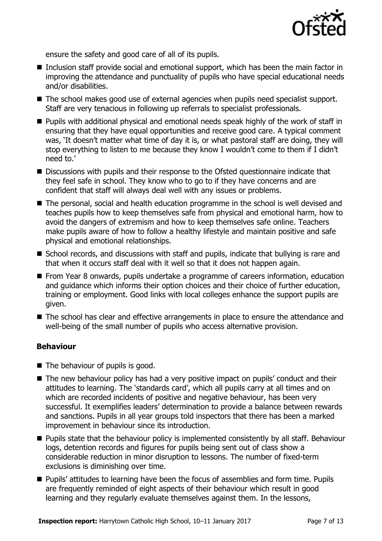

ensure the safety and good care of all of its pupils.

- Inclusion staff provide social and emotional support, which has been the main factor in improving the attendance and punctuality of pupils who have special educational needs and/or disabilities.
- The school makes good use of external agencies when pupils need specialist support. Staff are very tenacious in following up referrals to specialist professionals.
- **Pupils with additional physical and emotional needs speak highly of the work of staff in** ensuring that they have equal opportunities and receive good care. A typical comment was, 'It doesn't matter what time of day it is, or what pastoral staff are doing, they will stop everything to listen to me because they know I wouldn't come to them if I didn't need to.'
- Discussions with pupils and their response to the Ofsted questionnaire indicate that they feel safe in school. They know who to go to if they have concerns and are confident that staff will always deal well with any issues or problems.
- The personal, social and health education programme in the school is well devised and teaches pupils how to keep themselves safe from physical and emotional harm, how to avoid the dangers of extremism and how to keep themselves safe online. Teachers make pupils aware of how to follow a healthy lifestyle and maintain positive and safe physical and emotional relationships.
- School records, and discussions with staff and pupils, indicate that bullying is rare and that when it occurs staff deal with it well so that it does not happen again.
- **From Year 8 onwards, pupils undertake a programme of careers information, education** and guidance which informs their option choices and their choice of further education, training or employment. Good links with local colleges enhance the support pupils are given.
- The school has clear and effective arrangements in place to ensure the attendance and well-being of the small number of pupils who access alternative provision.

### **Behaviour**

- The behaviour of pupils is good.
- The new behaviour policy has had a very positive impact on pupils' conduct and their attitudes to learning. The 'standards card', which all pupils carry at all times and on which are recorded incidents of positive and negative behaviour, has been very successful. It exemplifies leaders' determination to provide a balance between rewards and sanctions. Pupils in all year groups told inspectors that there has been a marked improvement in behaviour since its introduction.
- **Pupils state that the behaviour policy is implemented consistently by all staff. Behaviour** logs, detention records and figures for pupils being sent out of class show a considerable reduction in minor disruption to lessons. The number of fixed-term exclusions is diminishing over time.
- Pupils' attitudes to learning have been the focus of assemblies and form time. Pupils are frequently reminded of eight aspects of their behaviour which result in good learning and they regularly evaluate themselves against them. In the lessons,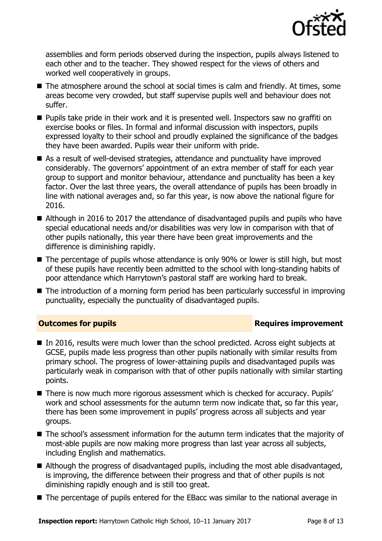

assemblies and form periods observed during the inspection, pupils always listened to each other and to the teacher. They showed respect for the views of others and worked well cooperatively in groups.

- The atmosphere around the school at social times is calm and friendly. At times, some areas become very crowded, but staff supervise pupils well and behaviour does not suffer.
- **Pupils take pride in their work and it is presented well. Inspectors saw no graffiti on** exercise books or files. In formal and informal discussion with inspectors, pupils expressed loyalty to their school and proudly explained the significance of the badges they have been awarded. Pupils wear their uniform with pride.
- As a result of well-devised strategies, attendance and punctuality have improved considerably. The governors' appointment of an extra member of staff for each year group to support and monitor behaviour, attendance and punctuality has been a key factor. Over the last three years, the overall attendance of pupils has been broadly in line with national averages and, so far this year, is now above the national figure for 2016.
- Although in 2016 to 2017 the attendance of disadvantaged pupils and pupils who have special educational needs and/or disabilities was very low in comparison with that of other pupils nationally, this year there have been great improvements and the difference is diminishing rapidly.
- The percentage of pupils whose attendance is only 90% or lower is still high, but most of these pupils have recently been admitted to the school with long-standing habits of poor attendance which Harrytown's pastoral staff are working hard to break.
- The introduction of a morning form period has been particularly successful in improving punctuality, especially the punctuality of disadvantaged pupils.

### **Outcomes for pupils Requires improvement**

- In 2016, results were much lower than the school predicted. Across eight subjects at GCSE, pupils made less progress than other pupils nationally with similar results from primary school. The progress of lower-attaining pupils and disadvantaged pupils was particularly weak in comparison with that of other pupils nationally with similar starting points.
- There is now much more rigorous assessment which is checked for accuracy. Pupils' work and school assessments for the autumn term now indicate that, so far this year, there has been some improvement in pupils' progress across all subjects and year groups.
- The school's assessment information for the autumn term indicates that the majority of most-able pupils are now making more progress than last year across all subjects, including English and mathematics.
- Although the progress of disadvantaged pupils, including the most able disadvantaged, is improving, the difference between their progress and that of other pupils is not diminishing rapidly enough and is still too great.
- The percentage of pupils entered for the EBacc was similar to the national average in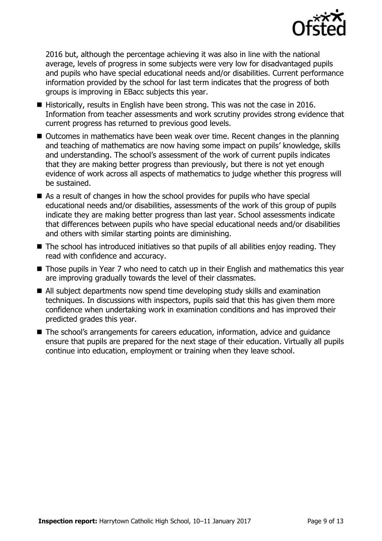

2016 but, although the percentage achieving it was also in line with the national average, levels of progress in some subjects were very low for disadvantaged pupils and pupils who have special educational needs and/or disabilities. Current performance information provided by the school for last term indicates that the progress of both groups is improving in EBacc subjects this year.

- Historically, results in English have been strong. This was not the case in 2016. Information from teacher assessments and work scrutiny provides strong evidence that current progress has returned to previous good levels.
- Outcomes in mathematics have been weak over time. Recent changes in the planning and teaching of mathematics are now having some impact on pupils' knowledge, skills and understanding. The school's assessment of the work of current pupils indicates that they are making better progress than previously, but there is not yet enough evidence of work across all aspects of mathematics to judge whether this progress will be sustained.
- As a result of changes in how the school provides for pupils who have special educational needs and/or disabilities, assessments of the work of this group of pupils indicate they are making better progress than last year. School assessments indicate that differences between pupils who have special educational needs and/or disabilities and others with similar starting points are diminishing.
- The school has introduced initiatives so that pupils of all abilities enjoy reading. They read with confidence and accuracy.
- Those pupils in Year 7 who need to catch up in their English and mathematics this year are improving gradually towards the level of their classmates.
- All subject departments now spend time developing study skills and examination techniques. In discussions with inspectors, pupils said that this has given them more confidence when undertaking work in examination conditions and has improved their predicted grades this year.
- The school's arrangements for careers education, information, advice and quidance ensure that pupils are prepared for the next stage of their education. Virtually all pupils continue into education, employment or training when they leave school.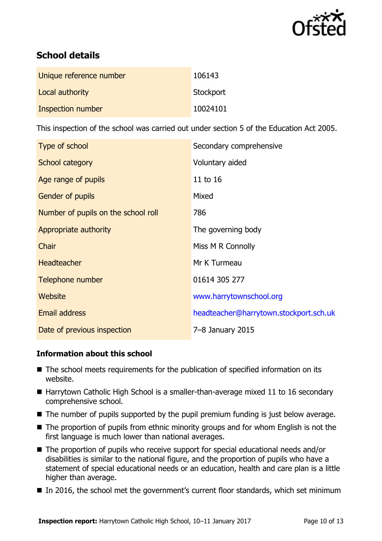

# **School details**

| Unique reference number | 106143    |
|-------------------------|-----------|
| Local authority         | Stockport |
| Inspection number       | 10024101  |

This inspection of the school was carried out under section 5 of the Education Act 2005.

| Type of school                      | Secondary comprehensive                |
|-------------------------------------|----------------------------------------|
| School category                     | Voluntary aided                        |
| Age range of pupils                 | 11 to 16                               |
| <b>Gender of pupils</b>             | Mixed                                  |
| Number of pupils on the school roll | 786                                    |
| Appropriate authority               | The governing body                     |
| Chair                               | Miss M R Connolly                      |
| <b>Headteacher</b>                  | Mr K Turmeau                           |
| Telephone number                    | 01614 305 277                          |
| Website                             | www.harrytownschool.org                |
| Email address                       | headteacher@harrytown.stockport.sch.uk |
| Date of previous inspection         | 7-8 January 2015                       |

### **Information about this school**

- The school meets requirements for the publication of specified information on its website.
- Harrytown Catholic High School is a smaller-than-average mixed 11 to 16 secondary comprehensive school.
- The number of pupils supported by the pupil premium funding is just below average.
- The proportion of pupils from ethnic minority groups and for whom English is not the first language is much lower than national averages.
- The proportion of pupils who receive support for special educational needs and/or disabilities is similar to the national figure, and the proportion of pupils who have a statement of special educational needs or an education, health and care plan is a little higher than average.
- In 2016, the school met the government's current floor standards, which set minimum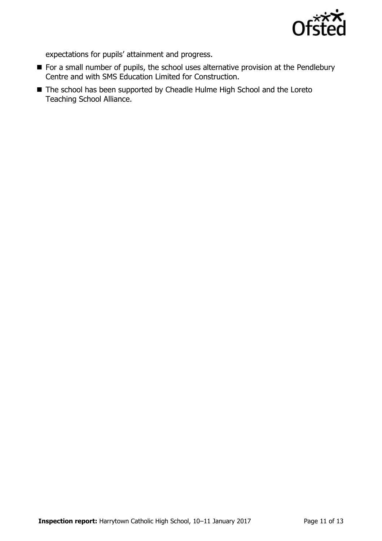

expectations for pupils' attainment and progress.

- For a small number of pupils, the school uses alternative provision at the Pendlebury Centre and with SMS Education Limited for Construction.
- The school has been supported by Cheadle Hulme High School and the Loreto Teaching School Alliance.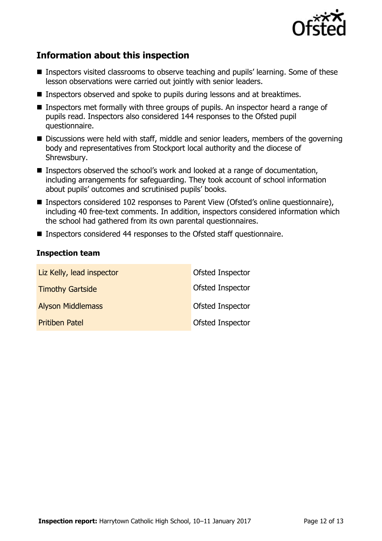

# **Information about this inspection**

- Inspectors visited classrooms to observe teaching and pupils' learning. Some of these lesson observations were carried out jointly with senior leaders.
- Inspectors observed and spoke to pupils during lessons and at breaktimes.
- Inspectors met formally with three groups of pupils. An inspector heard a range of pupils read. Inspectors also considered 144 responses to the Ofsted pupil questionnaire.
- Discussions were held with staff, middle and senior leaders, members of the governing body and representatives from Stockport local authority and the diocese of Shrewsbury.
- Inspectors observed the school's work and looked at a range of documentation, including arrangements for safeguarding. They took account of school information about pupils' outcomes and scrutinised pupils' books.
- Inspectors considered 102 responses to Parent View (Ofsted's online questionnaire), including 40 free-text comments. In addition, inspectors considered information which the school had gathered from its own parental questionnaires.
- Inspectors considered 44 responses to the Ofsted staff questionnaire.

#### **Inspection team**

| Liz Kelly, lead inspector | Ofsted Inspector |
|---------------------------|------------------|
| <b>Timothy Gartside</b>   | Ofsted Inspector |
| <b>Alyson Middlemass</b>  | Ofsted Inspector |
| <b>Pritiben Patel</b>     | Ofsted Inspector |